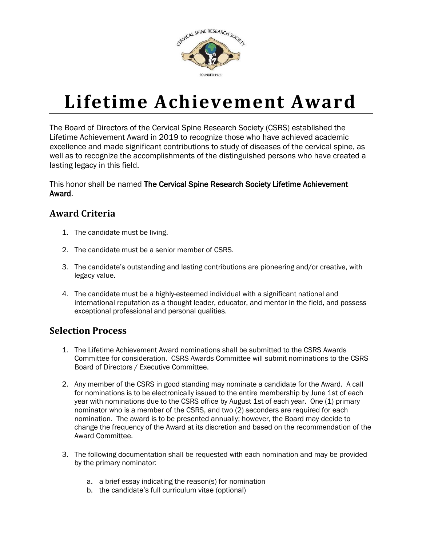

## **Lifetime Achievement Award**

The Board of Directors of the Cervical Spine Research Society (CSRS) established the Lifetime Achievement Award in 2019 to recognize those who have achieved academic excellence and made significant contributions to study of diseases of the cervical spine, as well as to recognize the accomplishments of the distinguished persons who have created a lasting legacy in this field.

This honor shall be named The Cervical Spine Research Society Lifetime Achievement Award.

## **Award Criteria**

- 1. The candidate must be living.
- 2. The candidate must be a senior member of CSRS.
- 3. The candidate's outstanding and lasting contributions are pioneering and/or creative, with legacy value.
- 4. The candidate must be a highly-esteemed individual with a significant national and international reputation as a thought leader, educator, and mentor in the field, and possess exceptional professional and personal qualities.

## **Selection Process**

- 1. The Lifetime Achievement Award nominations shall be submitted to the CSRS Awards Committee for consideration. CSRS Awards Committee will submit nominations to the CSRS Board of Directors / Executive Committee.
- 2. Any member of the CSRS in good standing may nominate a candidate for the Award. A call for nominations is to be electronically issued to the entire membership by June 1st of each year with nominations due to the CSRS office by August 1st of each year. One (1) primary nominator who is a member of the CSRS, and two (2) seconders are required for each nomination. The award is to be presented annually; however, the Board may decide to change the frequency of the Award at its discretion and based on the recommendation of the Award Committee.
- 3. The following documentation shall be requested with each nomination and may be provided by the primary nominator:
	- a. a brief essay indicating the reason(s) for nomination
	- b. the candidate's full curriculum vitae (optional)